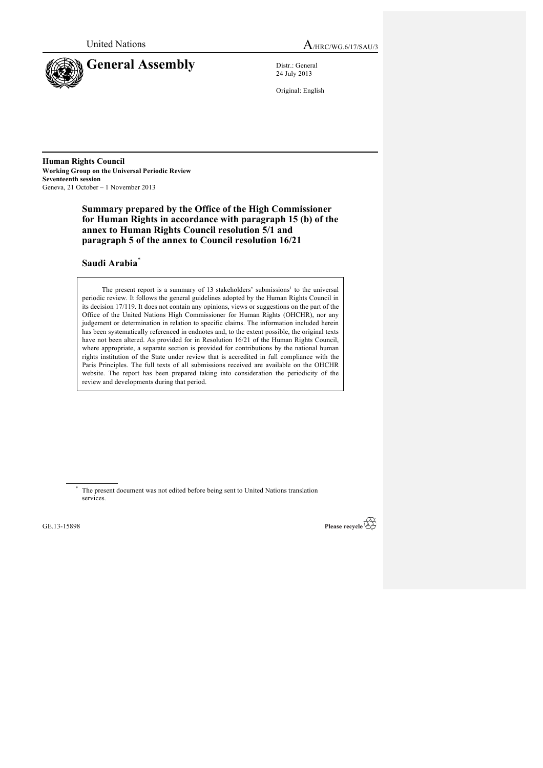

**General Assembly** Distr.: General

24 July 2013

Original: English

**Human Rights Council Working Group on the Universal Periodic Review Seventeenth session** Geneva, 21 October – 1 November 2013

> **Summary prepared by the Office of the High Commissioner for Human Rights in accordance with paragraph 15 (b) of the annex to Human Rights Council resolution 5/1 and paragraph 5 of the annex to Council resolution 16/21**

# **Saudi Arabia**\*

The present report is a summary of  $13$  stakeholders' submissions<sup>1</sup> to the universal periodic review. It follows the general guidelines adopted by the Human Rights Council in its decision 17/119. It does not contain any opinions, views or suggestions on the part of the Office of the United Nations High Commissioner for Human Rights (OHCHR), nor any judgement or determination in relation to specific claims. The information included herein has been systematically referenced in endnotes and, to the extent possible, the original texts have not been altered. As provided for in Resolution 16/21 of the Human Rights Council, where appropriate, a separate section is provided for contributions by the national human rights institution of the State under review that is accredited in full compliance with the Paris Principles. The full texts of all submissions received are available on the OHCHR website. The report has been prepared taking into consideration the periodicity of the review and developments during that period.

The present document was not edited before being sent to United Nations translation services.

GE.13-15898

Please recycle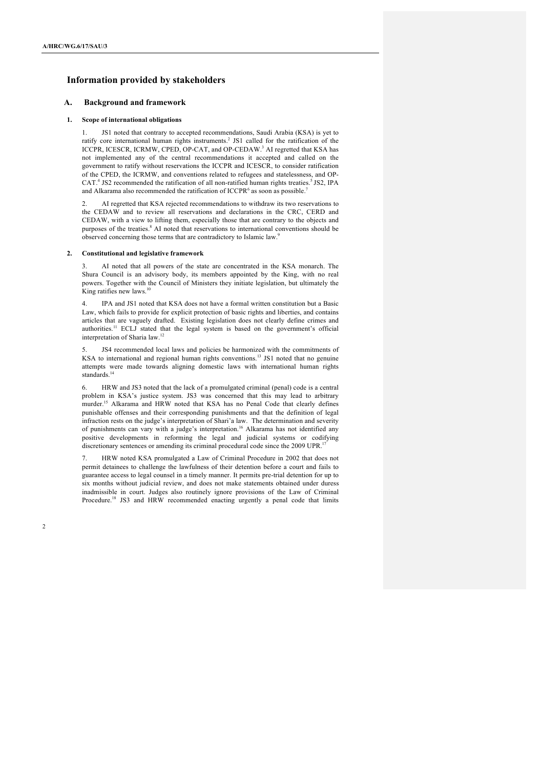# **Information provided by stakeholders**

## **A. Background and framework**

### **1. Scope of international obligations**

1. JS1 noted that contrary to accepted recommendations, Saudi Arabia (KSA) is yet to ratify core international human rights instruments. <sup>2</sup> JS1 called for the ratification of the ICCPR, ICESCR, ICRMW, CPED, OP-CAT, and OP-CEDAW. <sup>3</sup> AI regretted that KSA has not implemented any of the central recommendations it accepted and called on the government to ratify without reservations the ICCPR and ICESCR, to consider ratification of the CPED, the ICRMW, and conventions related to refugees and statelessness, and OP-CAT.<sup>4</sup> JS2 recommended the ratification of all non-ratified human rights treaties.<sup>5</sup> JS2, IPA and Alkarama also recommended the ratification of ICCPR<sup>6</sup> as soon as possible.<sup>7</sup>

2. AI regretted that KSA rejected recommendations to withdraw its two reservations to the CEDAW and to review all reservations and declarations in the CRC, CERD and CEDAW, with a view to lifting them, especially those that are contrary to the objects and purposes of the treaties.<sup>8</sup> AI noted that reservations to international conventions should be observed concerning those terms that are contradictory to Islamic law.<sup>9</sup>

### **2. Constitutional and legislative framework**

AI noted that all powers of the state are concentrated in the KSA monarch. The Shura Council is an advisory body, its members appointed by the King, with no real powers. Together with the Council of Ministers they initiate legislation, but ultimately the King ratifies new laws. $^{10}$ 

4. IPA and JS1 noted that KSA does not have a formal written constitution but a Basic Law, which fails to provide for explicit protection of basic rights and liberties, and contains articles that are vaguely drafted. Existing legislation does not clearly define crimes and authorities.<sup>11</sup> ECLJ stated that the legal system is based on the government's official interpretation of Sharia law. 12

JS4 recommended local laws and policies be harmonized with the commitments of KSA to international and regional human rights conventions.<sup>13</sup> JS1 noted that no genuine attempts were made towards aligning domestic laws with international human rights standards.<sup>14</sup>

6. HRW and JS3 noted that the lack of a promulgated criminal (penal) code is a central problem in KSA's justice system. JS3 was concerned that this may lead to arbitrary murder.<sup>15</sup> Alkarama and HRW noted that KSA has no Penal Code that clearly defines punishable offenses and their corresponding punishments and that the definition of legal infraction rests on the judge's interpretation of Shari'a law. The determination and severity of punishments can vary with a judge's interpretation. <sup>16</sup> Alkarama has not identified any positive developments in reforming the legal and judicial systems or codifying discretionary sentences or amending its criminal procedural code since the 2009 UPR.<sup>17</sup>

7. HRW noted KSA promulgated a Law of Criminal Procedure in 2002 that does not permit detainees to challenge the lawfulness of their detention before a court and fails to guarantee access to legal counsel in a timely manner. It permits pre-trial detention for up to six months without judicial review, and does not make statements obtained under duress inadmissible in court. Judges also routinely ignore provisions of the Law of Criminal Procedure.<sup>18</sup> JS3 and HRW recommended enacting urgently a penal code that limits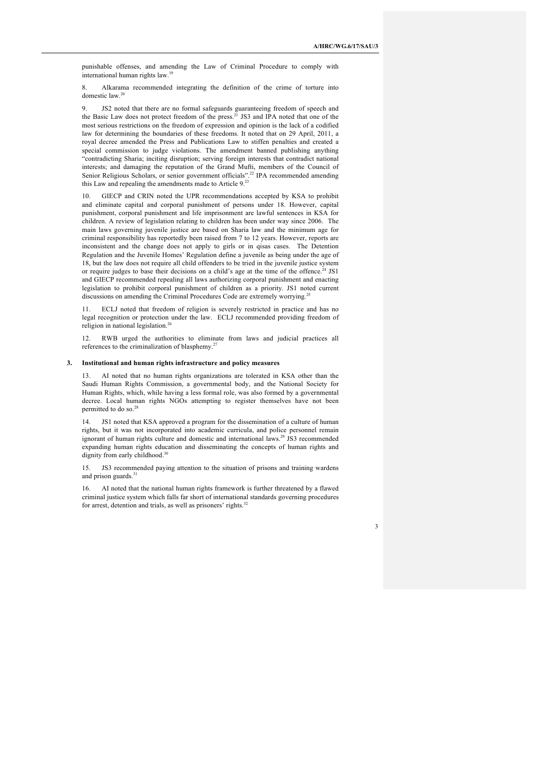3

punishable offenses, and amending the Law of Criminal Procedure to comply with international human rights law.<sup>19</sup>

8. Alkarama recommended integrating the definition of the crime of torture into domestic law.<sup>20</sup>

9. JS2 noted that there are no formal safeguards guaranteeing freedom of speech and the Basic Law does not protect freedom of the press.<sup>21</sup> JS3 and IPA noted that one of the most serious restrictions on the freedom of expression and opinion is the lack of a codified law for determining the boundaries of these freedoms. It noted that on 29 April, 2011, a royal decree amended the Press and Publications Law to stiffen penalties and created a special commission to judge violations. The amendment banned publishing anything "contradicting Sharia; inciting disruption; serving foreign interests that contradict national interests; and damaging the reputation of the Grand Mufti, members of the Council of Senior Religious Scholars, or senior government officials".<sup>22</sup> IPA recommended amending this Law and repealing the amendments made to Article 9.<sup>23</sup>

10. GIECP and CRIN noted the UPR recommendations accepted by KSA to prohibit and eliminate capital and corporal punishment of persons under 18. However, capital punishment, corporal punishment and life imprisonment are lawful sentences in KSA for children. A review of legislation relating to children has been under way since 2006. The main laws governing juvenile justice are based on Sharia law and the minimum age for criminal responsibility has reportedly been raised from 7 to 12 years. However, reports are inconsistent and the change does not apply to girls or in qisas cases. The Detention Regulation and the Juvenile Homes' Regulation define a juvenile as being under the age of 18, but the law does not require all child offenders to be tried in the juvenile justice system or require judges to base their decisions on a child's age at the time of the offence.<sup>24</sup> JS1 and GIECP recommended repealing all laws authorizing corporal punishment and enacting legislation to prohibit corporal punishment of children as a priority. JS1 noted current discussions on amending the Criminal Procedures Code are extremely worrying.<sup>2</sup>

11. ECLJ noted that freedom of religion is severely restricted in practice and has no legal recognition or protection under the law. ECLJ recommended providing freedom of religion in national legislation.26

12. RWB urged the authorities to eliminate from laws and judicial practices all references to the criminalization of blasphemy.<sup>27</sup>

### **3. Institutional and human rights infrastructure and policy measures**

13. AI noted that no human rights organizations are tolerated in KSA other than the Saudi Human Rights Commission, a governmental body, and the National Society for Human Rights, which, while having a less formal role, was also formed by a governmental decree. Local human rights NGOs attempting to register themselves have not been permitted to do so.

14. JS1 noted that KSA approved a program for the dissemination of a culture of human rights, but it was not incorporated into academic curricula, and police personnel remain ignorant of human rights culture and domestic and international laws.<sup>29</sup> JS3 recommended expanding human rights education and disseminating the concepts of human rights and dignity from early childhood.<sup>30</sup>

15. JS3 recommended paying attention to the situation of prisons and training wardens and prison guards.<sup>3</sup>

AI noted that the national human rights framework is further threatened by a flawed criminal justice system which falls far short of international standards governing procedures for arrest, detention and trials, as well as prisoners' rights.<sup>32</sup>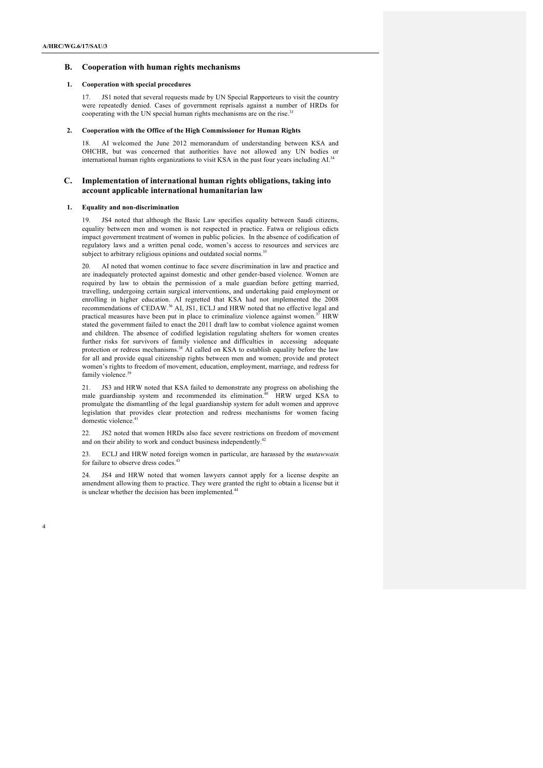# **B. Cooperation with human rights mechanisms**

## **1. Cooperation with special procedures**

17. JS1 noted that several requests made by UN Special Rapporteurs to visit the country were repeatedly denied. Cases of government reprisals against a number of HRDs for cooperating with the UN special human rights mechanisms are on the rise.<sup>33</sup>

### **2. Cooperation with the Office of the High Commissioner for Human Rights**

AI welcomed the June 2012 memorandum of understanding between KSA and OHCHR, but was concerned that authorities have not allowed any UN bodies or international human rights organizations to visit KSA in the past four years including AI.<sup>34</sup>

## **C. Implementation of international human rights obligations, taking into account applicable international humanitarian law**

### **1. Equality and non-discrimination**

19. JS4 noted that although the Basic Law specifies equality between Saudi citizens, equality between men and women is not respected in practice. Fatwa or religious edicts impact government treatment of women in public policies. In the absence of codification of regulatory laws and a written penal code, women's access to resources and services are subject to arbitrary religious opinions and outdated social norms.<sup>35</sup>

20. AI noted that women continue to face severe discrimination in law and practice and are inadequately protected against domestic and other gender-based violence. Women are required by law to obtain the permission of a male guardian before getting married, travelling, undergoing certain surgical interventions, and undertaking paid employment or enrolling in higher education. AI regretted that KSA had not implemented the 2008 recommendations of CEDAW.<sup>36</sup> AI, JS1, ECLJ and HRW noted that no effective legal and practical measures have been put in place to criminalize violence against women.<sup>37</sup> HRW stated the government failed to enact the 2011 draft law to combat violence against women and children. The absence of codified legislation regulating shelters for women creates further risks for survivors of family violence and difficulties in accessing adequate protection or redress mechanisms.<sup>38</sup> AI called on KSA to establish equality before the law for all and provide equal citizenship rights between men and women; provide and protect women's rights to freedom of movement, education, employment, marriage, and redress for family violence.<sup>3</sup>

21. JS3 and HRW noted that KSA failed to demonstrate any progress on abolishing the male guardianship system and recommended its elimination.<sup>40</sup> HRW urged KSA to promulgate the dismantling of the legal guardianship system for adult women and approve legislation that provides clear protection and redress mechanisms for women facing domestic violence.<sup>4</sup>

22. JS2 noted that women HRDs also face severe restrictions on freedom of movement and on their ability to work and conduct business independently.<sup>42</sup>

23. ECLJ and HRW noted foreign women in particular, are harassed by the *mutawwain* for failure to observe dress codes. 43

24. JS4 and HRW noted that women lawyers cannot apply for a license despite an amendment allowing them to practice. They were granted the right to obtain a license but it is unclear whether the decision has been implemented.<sup>44</sup>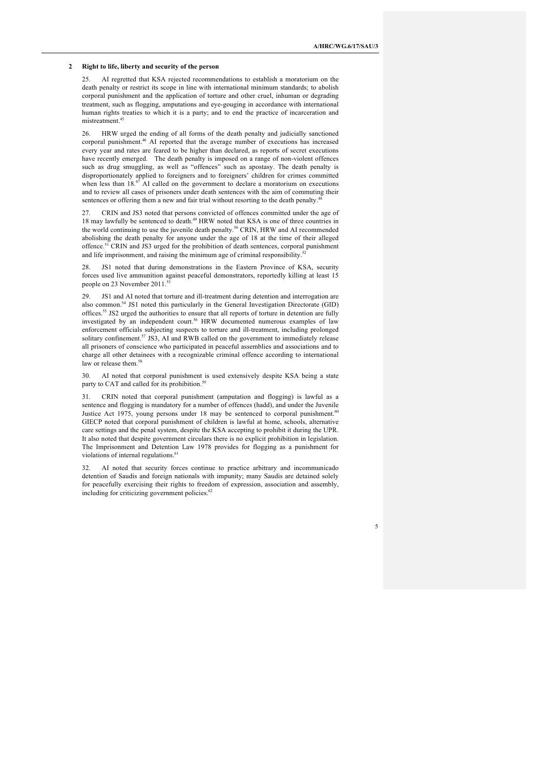### **2 Right to life, liberty and security of the person**

25. AI regretted that KSA rejected recommendations to establish a moratorium on the death penalty or restrict its scope in line with international minimum standards; to abolish corporal punishment and the application of torture and other cruel, inhuman or degrading treatment, such as flogging, amputations and eye-gouging in accordance with international human rights treaties to which it is a party; and to end the practice of incarceration and mistreatment. 45

26. HRW urged the ending of all forms of the death penalty and judicially sanctioned corporal punishment.<sup>46</sup> AI reported that the average number of executions has increased every year and rates are feared to be higher than declared, as reports of secret executions have recently emerged. The death penalty is imposed on a range of non-violent offences such as drug smuggling, as well as "offences" such as apostasy. The death penalty is disproportionately applied to foreigners and to foreigners' children for crimes committed when less than 18.<sup>47</sup> AI called on the government to declare a moratorium on executions and to review all cases of prisoners under death sentences with the aim of commuting their sentences or offering them a new and fair trial without resorting to the death penalty.<sup>48</sup>

27. CRIN and JS3 noted that persons convicted of offences committed under the age of 18 may lawfully be sentenced to death.<sup>49</sup> HRW noted that KSA is one of three countries in the world continuing to use the juvenile death penalty.<sup>50</sup> CRIN, HRW and AI recommended abolishing the death penalty for anyone under the age of 18 at the time of their alleged offence. <sup>51</sup> CRIN and JS3 urged for the prohibition of death sentences, corporal punishment and life imprisonment, and raising the minimum age of criminal responsibility.

28. JS1 noted that during demonstrations in the Eastern Province of KSA, security forces used live ammunition against peaceful demonstrators, reportedly killing at least 15 people on 23 November 2011.<sup>53</sup>

29. JS1 and AI noted that torture and ill-treatment during detention and interrogation are also common.<sup>54</sup> JS1 noted this particularly in the General Investigation Directorate (GID) offices.<sup>55</sup> JS2 urged the authorities to ensure that all reports of torture in detention are fully investigated by an independent court.<sup>56</sup> HRW documented numerous examples of law enforcement officials subjecting suspects to torture and ill-treatment, including prolonged solitary confinement.<sup>57</sup> JS3, AI and RWB called on the government to immediately release all prisoners of conscience who participated in peaceful assemblies and associations and to charge all other detainees with a recognizable criminal offence according to international law or release them.<sup>58</sup>

30. AI noted that corporal punishment is used extensively despite KSA being a state party to CAT and called for its prohibition.<sup>5</sup>

31. CRIN noted that corporal punishment (amputation and flogging) is lawful as a sentence and flogging is mandatory for a number of offences (hadd), and under the Juvenile Justice Act 1975, young persons under 18 may be sentenced to corporal punishment.<sup>60</sup> GIECP noted that corporal punishment of children is lawful at home, schools, alternative care settings and the penal system, despite the KSA accepting to prohibit it during the UPR. It also noted that despite government circulars there is no explicit prohibition in legislation. The Imprisonment and Detention Law 1978 provides for flogging as a punishment for violations of internal regulations.<sup>6</sup>

32. AI noted that security forces continue to practice arbitrary and incommunicado detention of Saudis and foreign nationals with impunity; many Saudis are detained solely for peacefully exercising their rights to freedom of expression, association and assembly, including for criticizing government policies.<sup>62</sup>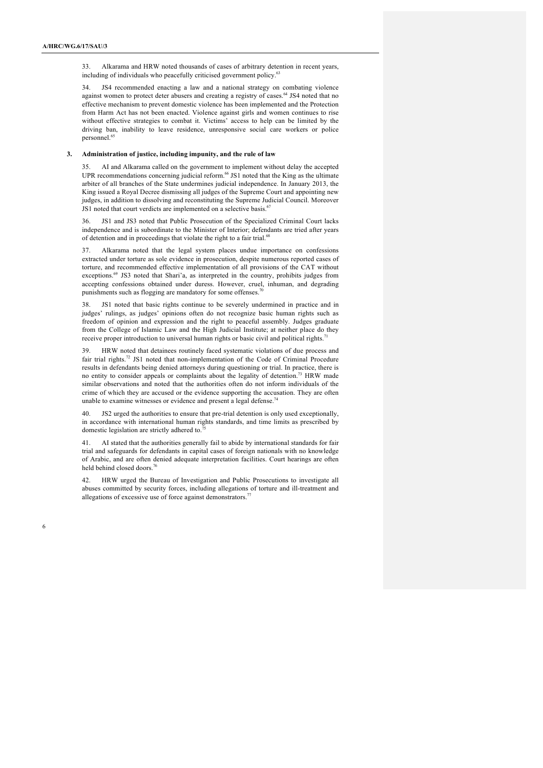33. Alkarama and HRW noted thousands of cases of arbitrary detention in recent years, including of individuals who peacefully criticised government policy.<sup>63</sup>

34. JS4 recommended enacting a law and a national strategy on combating violence against women to protect deter abusers and creating a registry of cases.<sup>64</sup> JS4 noted that no effective mechanism to prevent domestic violence has been implemented and the Protection from Harm Act has not been enacted. Violence against girls and women continues to rise without effective strategies to combat it. Victims' access to help can be limited by the driving ban, inability to leave residence, unresponsive social care workers or police personnel.<sup>6</sup>

# **3. Administration of justice, including impunity, and the rule of law**

35. AI and Alkarama called on the government to implement without delay the accepted UPR recommendations concerning judicial reform. <sup>66</sup> JS1 noted that the King as the ultimate arbiter of all branches of the State undermines judicial independence. In January 2013, the King issued a Royal Decree dismissing all judges of the Supreme Court and appointing new judges, in addition to dissolving and reconstituting the Supreme Judicial Council. Moreover JS1 noted that court verdicts are implemented on a selective basis.<sup>67</sup>

36. JS1 and JS3 noted that Public Prosecution of the Specialized Criminal Court lacks independence and is subordinate to the Minister of Interior; defendants are tried after years of detention and in proceedings that violate the right to a fair trial.<sup>68</sup>

Alkarama noted that the legal system places undue importance on confessions extracted under torture as sole evidence in prosecution, despite numerous reported cases of torture, and recommended effective implementation of all provisions of the CAT without exceptions.<sup>69</sup> JS3 noted that Shari'a, as interpreted in the country, prohibits judges from accepting confessions obtained under duress. However, cruel, inhuman, and degrading punishments such as flogging are mandatory for some offenses.<sup>7</sup>

38. JS1 noted that basic rights continue to be severely undermined in practice and in judges' rulings, as judges' opinions often do not recognize basic human rights such as freedom of opinion and expression and the right to peaceful assembly. Judges graduate from the College of Islamic Law and the High Judicial Institute; at neither place do they receive proper introduction to universal human rights or basic civil and political rights.<sup>7</sup>

39. HRW noted that detainees routinely faced systematic violations of due process and fair trial rights.<sup>72</sup> JS1 noted that non-implementation of the Code of Criminal Procedure results in defendants being denied attorneys during questioning or trial. In practice, there is no entity to consider appeals or complaints about the legality of detention.73 HRW made similar observations and noted that the authorities often do not inform individuals of the crime of which they are accused or the evidence supporting the accusation. They are often unable to examine witnesses or evidence and present a legal defense.<sup>74</sup>

40. JS2 urged the authorities to ensure that pre-trial detention is only used exceptionally, in accordance with international human rights standards, and time limits as prescribed by domestic legislation are strictly adhered to.

41. AI stated that the authorities generally fail to abide by international standards for fair trial and safeguards for defendants in capital cases of foreign nationals with no knowledge of Arabic, and are often denied adequate interpretation facilities. Court hearings are often held behind closed doors<sup>7</sup>

42. HRW urged the Bureau of Investigation and Public Prosecutions to investigate all abuses committed by security forces, including allegations of torture and ill-treatment and allegations of excessive use of force against demonstrators.<sup>7</sup>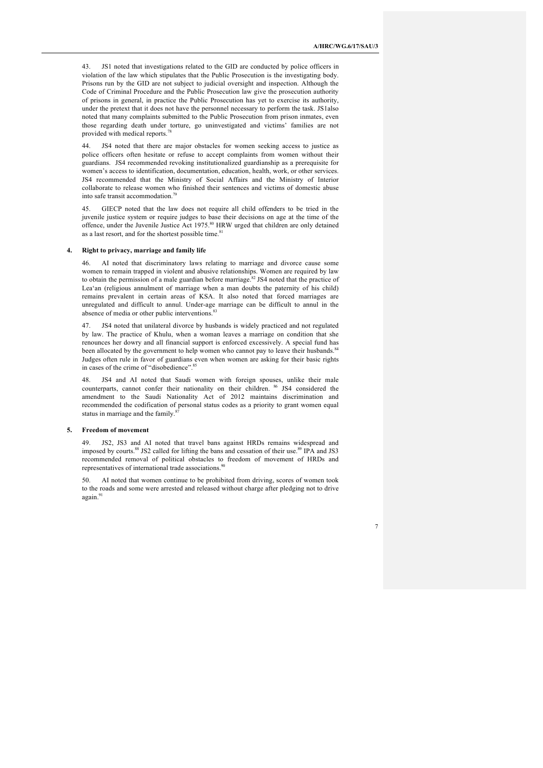43. JS1 noted that investigations related to the GID are conducted by police officers in violation of the law which stipulates that the Public Prosecution is the investigating body. Prisons run by the GID are not subject to judicial oversight and inspection. Although the Code of Criminal Procedure and the Public Prosecution law give the prosecution authority of prisons in general, in practice the Public Prosecution has yet to exercise its authority, under the pretext that it does not have the personnel necessary to perform the task. JS1also noted that many complaints submitted to the Public Prosecution from prison inmates, even those regarding death under torture, go uninvestigated and victims' families are not provided with medical reports.<sup>78</sup>

44. JS4 noted that there are major obstacles for women seeking access to justice as police officers often hesitate or refuse to accept complaints from women without their guardians. JS4 recommended revoking institutionalized guardianship as a prerequisite for women's access to identification, documentation, education, health, work, or other services. JS4 recommended that the Ministry of Social Affairs and the Ministry of Interior collaborate to release women who finished their sentences and victims of domestic abuse into safe transit accommodation. 79

45. GIECP noted that the law does not require all child offenders to be tried in the juvenile justice system or require judges to base their decisions on age at the time of the offence, under the Juvenile Justice Act 1975.<sup>80</sup> HRW urged that children are only detained as a last resort, and for the shortest possible time.<sup>81</sup>

#### **4. Right to privacy, marriage and family life**

46. AI noted that discriminatory laws relating to marriage and divorce cause some women to remain trapped in violent and abusive relationships. Women are required by law to obtain the permission of a male guardian before marriage. $82$  JS4 noted that the practice of Lea'an (religious annulment of marriage when a man doubts the paternity of his child) remains prevalent in certain areas of KSA. It also noted that forced marriages are unregulated and difficult to annul. Under-age marriage can be difficult to annul in the absence of media or other public interventions.<sup>83</sup>

47. JS4 noted that unilateral divorce by husbands is widely practiced and not regulated by law. The practice of Khulu, when a woman leaves a marriage on condition that she renounces her dowry and all financial support is enforced excessively. A special fund has been allocated by the government to help women who cannot pay to leave their husbands.<sup>84</sup> Judges often rule in favor of guardians even when women are asking for their basic rights in cases of the crime of "disobedience".<sup>85</sup>

48. JS4 and AI noted that Saudi women with foreign spouses, unlike their male counterparts, cannot confer their nationality on their children. <sup>86</sup> JS4 considered the amendment to the Saudi Nationality Act of 2012 maintains discrimination and recommended the codification of personal status codes as a priority to grant women equal status in marriage and the family.<sup>8</sup>

#### **5. Freedom of movement**

49. JS2, JS3 and AI noted that travel bans against HRDs remains widespread and imposed by courts.<sup>88</sup> JS2 called for lifting the bans and cessation of their use.<sup>89</sup> IPA and JS3 recommended removal of political obstacles to freedom of movement of HRDs and representatives of international trade associations.<sup>90</sup>

AI noted that women continue to be prohibited from driving, scores of women took to the roads and some were arrested and released without charge after pledging not to drive again.91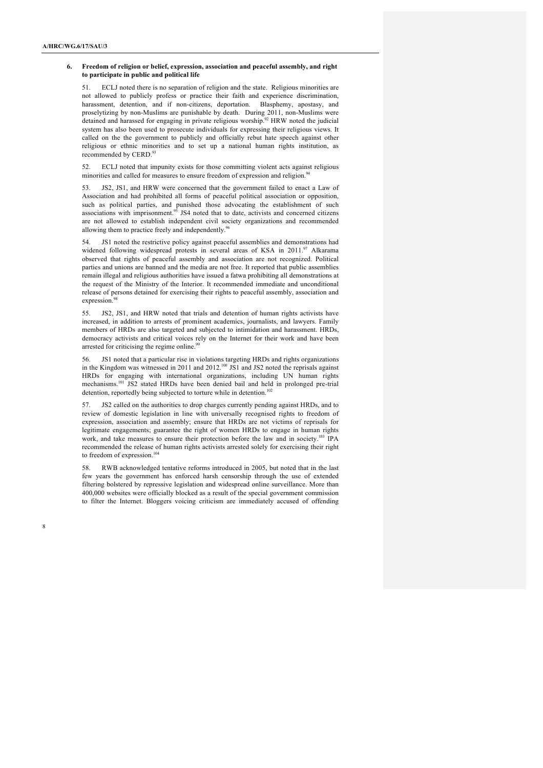### **6. Freedom of religion or belief, expression, association and peaceful assembly, and right to participate in public and political life**

51. ECLJ noted there is no separation of religion and the state. Religious minorities are not allowed to publicly profess or practice their faith and experience discrimination, harassment, detention, and if non-citizens, deportation. Blasphemy, apostasy, and proselytizing by non-Muslims are punishable by death. During 2011, non-Muslims were detained and harassed for engaging in private religious worship.<sup>92</sup> HRW noted the judicial system has also been used to prosecute individuals for expressing their religious views. It called on the the government to publicly and officially rebut hate speech against other religious or ethnic minorities and to set up a national human rights institution, as recommended by CERD.<sup>93</sup>

52. ECLJ noted that impunity exists for those committing violent acts against religious minorities and called for measures to ensure freedom of expression and religion.<sup>94</sup>

53. JS2, JS1, and HRW were concerned that the government failed to enact a Law of Association and had prohibited all forms of peaceful political association or opposition, such as political parties, and punished those advocating the establishment of such associations with imprisonment.<sup>95</sup> JS4 noted that to date, activists and concerned citizens are not allowed to establish independent civil society organizations and recommended allowing them to practice freely and independently.<sup>9</sup>

54. JS1 noted the restrictive policy against peaceful assemblies and demonstrations had widened following widespread protests in several areas of KSA in 2011.<sup>97</sup> Alkarama observed that rights of peaceful assembly and association are not recognized. Political parties and unions are banned and the media are not free. It reported that public assemblies remain illegal and religious authorities have issued a fatwa prohibiting all demonstrations at the request of the Ministry of the Interior. It recommended immediate and unconditional release of persons detained for exercising their rights to peaceful assembly, association and expression. 98

55. JS2, JS1, and HRW noted that trials and detention of human rights activists have increased, in addition to arrests of prominent academics, journalists, and lawyers. Family members of HRDs are also targeted and subjected to intimidation and harassment. HRDs, democracy activists and critical voices rely on the Internet for their work and have been arrested for criticising the regime online.<sup>99</sup>

56. JS1 noted that a particular rise in violations targeting HRDs and rights organizations in the Kingdom was witnessed in 2011 and  $2012^{100}$  JS1 and JS2 noted the reprisals against HRDs for engaging with international organizations, including UN human rights mechanisms.<sup>101</sup> JS2 stated HRDs have been denied bail and held in prolonged pre-trial detention, reportedly being subjected to torture while in detention.<sup>102</sup>

57. JS2 called on the authorities to drop charges currently pending against HRDs, and to review of domestic legislation in line with universally recognised rights to freedom of expression, association and assembly; ensure that HRDs are not victims of reprisals for legitimate engagements; guarantee the right of women HRDs to engage in human rights work, and take measures to ensure their protection before the law and in society.<sup>103</sup> IPA recommended the release of human rights activists arrested solely for exercising their right to freedom of expression. $10$ 

58. RWB acknowledged tentative reforms introduced in 2005, but noted that in the last few years the government has enforced harsh censorship through the use of extended filtering bolstered by repressive legislation and widespread online surveillance. More than 400,000 websites were officially blocked as a result of the special government commission to filter the Internet. Bloggers voicing criticism are immediately accused of offending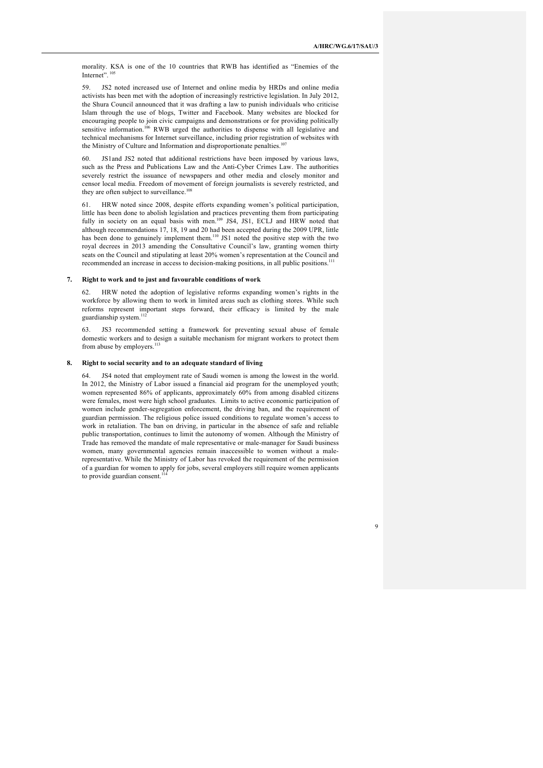morality. KSA is one of the 10 countries that RWB has identified as "Enemies of the Internet". <sup>105</sup>

59. JS2 noted increased use of Internet and online media by HRDs and online media activists has been met with the adoption of increasingly restrictive legislation. In July 2012, the Shura Council announced that it was drafting a law to punish individuals who criticise Islam through the use of blogs, Twitter and Facebook. Many websites are blocked for encouraging people to join civic campaigns and demonstrations or for providing politically sensitive information.<sup>106</sup> RWB urged the authorities to dispense with all legislative and technical mechanisms for Internet surveillance, including prior registration of websites with the Ministry of Culture and Information and disproportionate penalties.<sup>107</sup>

JS1and JS2 noted that additional restrictions have been imposed by various laws, such as the Press and Publications Law and the Anti-Cyber Crimes Law. The authorities severely restrict the issuance of newspapers and other media and closely monitor and censor local media. Freedom of movement of foreign journalists is severely restricted, and they are often subject to surveillance.<sup>108</sup>

61. HRW noted since 2008, despite efforts expanding women's political participation, little has been done to abolish legislation and practices preventing them from participating fully in society on an equal basis with men.<sup>109</sup> JS4, JS1, ECLJ and HRW noted that although recommendations 17, 18, 19 and 20 had been accepted during the 2009 UPR, little has been done to genuinely implement them.<sup>110</sup> JS1 noted the positive step with the two royal decrees in 2013 amending the Consultative Council's law, granting women thirty seats on the Council and stipulating at least 20% women's representation at the Council and recommended an increase in access to decision-making positions, in all public positions.<sup>111</sup>

#### **7. Right to work and to just and favourable conditions of work**

62. HRW noted the adoption of legislative reforms expanding women's rights in the workforce by allowing them to work in limited areas such as clothing stores. While such reforms represent important steps forward, their efficacy is limited by the male guardianship system.<sup>112</sup>

63. JS3 recommended setting a framework for preventing sexual abuse of female domestic workers and to design a suitable mechanism for migrant workers to protect them from abuse by employers.<sup>113</sup>

## **8. Right to social security and to an adequate standard of living**

64. JS4 noted that employment rate of Saudi women is among the lowest in the world. In 2012, the Ministry of Labor issued a financial aid program for the unemployed youth; women represented 86% of applicants, approximately 60% from among disabled citizens were females, most were high school graduates. Limits to active economic participation of women include gender-segregation enforcement, the driving ban, and the requirement of guardian permission. The religious police issued conditions to regulate women's access to work in retaliation. The ban on driving, in particular in the absence of safe and reliable public transportation, continues to limit the autonomy of women. Although the Ministry of Trade has removed the mandate of male representative or male-manager for Saudi business women, many governmental agencies remain inaccessible to women without a malerepresentative. While the Ministry of Labor has revoked the requirement of the permission of a guardian for women to apply for jobs, several employers still require women applicants to provide guardian consent.<sup>1</sup>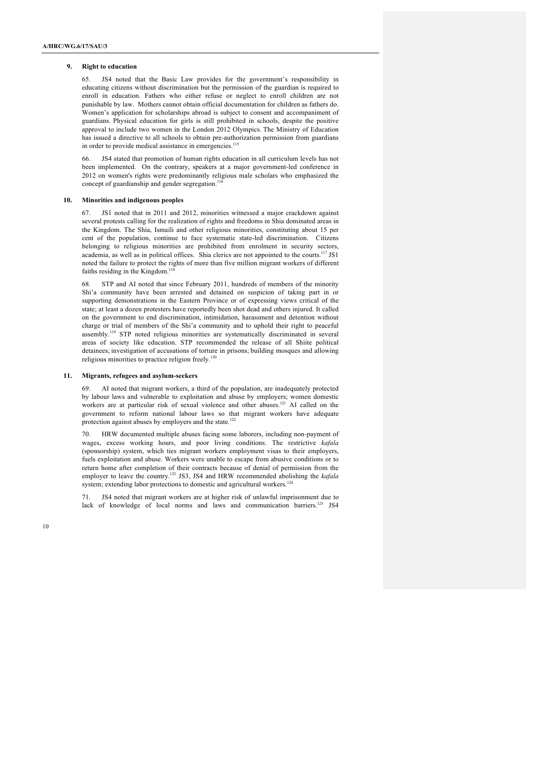### **9. Right to education**

65. JS4 noted that the Basic Law provides for the government's responsibility in educating citizens without discrimination but the permission of the guardian is required to enroll in education. Fathers who either refuse or neglect to enroll children are not punishable by law. Mothers cannot obtain official documentation for children as fathers do. Women's application for scholarships abroad is subject to consent and accompaniment of guardians. Physical education for girls is still prohibited in schools, despite the positive approval to include two women in the London 2012 Olympics. The Ministry of Education has issued a directive to all schools to obtain pre-authorization permission from guardians in order to provide medical assistance in emergencies.<sup>115</sup>

66. JS4 stated that promotion of human rights education in all curriculum levels has not been implemented. On the contrary, speakers at a major government-led conference in 2012 on women's rights were predominantly religious male scholars who emphasized the concept of guardianship and gender segregation.<sup>116</sup>

### **10. Minorities and indigenous peoples**

67. JS1 noted that in 2011 and 2012, minorities witnessed a major crackdown against several protests calling for the realization of rights and freedoms in Shia dominated areas in the Kingdom. The Shia, Ismaili and other religious minorities, constituting about 15 per cent of the population, continue to face systematic state-led discrimination. Citizens belonging to religious minorities are prohibited from enrolment in security sectors, academia, as well as in political offices. Shia clerics are not appointed to the courts.<sup>117</sup> JS1 noted the failure to protect the rights of more than five million migrant workers of different faiths residing in the Kingdom. $11$ 

68. STP and AI noted that since February 2011, hundreds of members of the minority Shi'a community have been arrested and detained on suspicion of taking part in or supporting demonstrations in the Eastern Province or of expressing views critical of the state; at least a dozen protesters have reportedly been shot dead and others injured. It called on the government to end discrimination, intimidation, harassment and detention without charge or trial of members of the Shi'a community and to uphold their right to peaceful assembly.<sup>119</sup> STP noted religious minorities are systematically discriminated in several areas of society like education. STP recommended the release of all Shiite political detainees; investigation of accusations of torture in prisons; building mosques and allowing religious minorities to practice religion freely.<sup>12</sup>

### **11. Migrants, refugees and asylum-seekers**

69. AI noted that migrant workers, a third of the population, are inadequately protected by labour laws and vulnerable to exploitation and abuse by employers; women domestic workers are at particular risk of sexual violence and other abuses.<sup>121</sup> AI called on the government to reform national labour laws so that migrant workers have adequate protection against abuses by employers and the state.<sup>122</sup>

70. HRW documented multiple abuses facing some laborers, including non-payment of wages, excess working hours, and poor living conditions. The restrictive *kafala* (sponsorship) system, which ties migrant workers employment visas to their employers, fuels exploitation and abuse. Workers were unable to escape from abusive conditions or to return home after completion of their contracts because of denial of permission from the employer to leave the country.<sup>123</sup> JS3, JS4 and HRW recommended abolishing the *kafala* system; extending labor protections to domestic and agricultural workers.<sup>124</sup>

71. JS4 noted that migrant workers are at higher risk of unlawful imprisonment due to lack of knowledge of local norms and laws and communication barriers.<sup>125</sup> JS4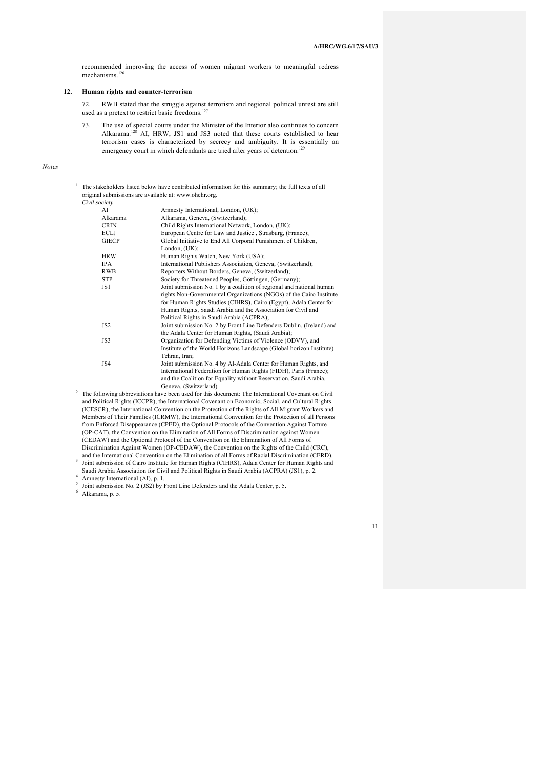recommended improving the access of women migrant workers to meaningful redress mechanisms. 126

### **12. Human rights and counter-terrorism**

72. RWB stated that the struggle against terrorism and regional political unrest are still used as a pretext to restrict basic freedoms.<sup>12</sup>

73. The use of special courts under the Minister of the Interior also continues to concern Alkarama. <sup>128</sup> AI, HRW, JS1 and JS3 noted that these courts established to hear terrorism cases is characterized by secrecy and ambiguity. It is essentially an emergency court in which defendants are tried after years of detention.<sup>129</sup>

*Notes*

<sup>1</sup> The stakeholders listed below have contributed information for this summary; the full texts of all original submissions are available at: www.ohchr.org.  $C$ *ivil* 

| Civil society   |                                                                                                   |
|-----------------|---------------------------------------------------------------------------------------------------|
| AI              | Amnesty International, London, (UK);                                                              |
| Alkarama        | Alkarama, Geneva, (Switzerland);                                                                  |
| <b>CRIN</b>     | Child Rights International Network, London, (UK);                                                 |
| ECLJ            | European Centre for Law and Justice, Strasburg, (France);                                         |
| <b>GIECP</b>    | Global Initiative to End All Corporal Punishment of Children,                                     |
|                 | London, $(UK);$                                                                                   |
| <b>HRW</b>      | Human Rights Watch, New York (USA);                                                               |
| <b>IPA</b>      | International Publishers Association, Geneva, (Switzerland);                                      |
| <b>RWB</b>      | Reporters Without Borders, Geneva, (Switzerland);                                                 |
| <b>STP</b>      | Society for Threatened Peoples, Göttingen, (Germany);                                             |
| JS1             | Joint submission No. 1 by a coalition of regional and national human                              |
|                 | rights Non-Governmental Organizations (NGOs) of the Cairo Institute                               |
|                 | for Human Rights Studies (CIHRS), Cairo (Egypt), Adala Center for                                 |
|                 | Human Rights, Saudi Arabia and the Association for Civil and                                      |
|                 | Political Rights in Saudi Arabia (ACPRA);                                                         |
| JS <sub>2</sub> | Joint submission No. 2 by Front Line Defenders Dublin, (Ireland) and                              |
|                 | the Adala Center for Human Rights, (Saudi Arabia);                                                |
| JS3             | Organization for Defending Victims of Violence (ODVV), and                                        |
|                 | Institute of the World Horizons Landscape (Global horizon Institute)                              |
|                 | Tehran, Iran;                                                                                     |
| JS4             | Joint submission No. 4 by Al-Adala Center for Human Rights, and                                   |
|                 | International Federation for Human Rights (FIDH), Paris (France);                                 |
|                 | and the Coalition for Equality without Reservation, Saudi Arabia,                                 |
|                 | Geneva, (Switzerland).                                                                            |
|                 | The following abbreviations have been used for this document: The International Covenant on Civil |

and Political Rights (ICCPR), the International Covenant on Economic, Social, and Cultural Rights (ICESCR), the International Convention on the Protection of the Rights of All Migrant Workers and Members of Their Families (ICRMW), the International Convention for the Protection of all Persons from Enforced Disappearance (CPED), the Optional Protocols of the Convention Against Torture (OP-CAT), the Convention on the Elimination of All Forms of Discrimination against Women (CEDAW) and the Optional Protocol of the Convention on the Elimination of All Forms of Discrimination Against Women (OP-CEDAW), the Convention on the Rights of the Child (CRC),

and the International Convention on the Elimination of all Forms of Racial Discrimination (CERD). <sup>3</sup> Joint submission of Cairo Institute for Human Rights (CIHRS), Adala Center for Human Rights and Saudi Arabia Association for Civil and Political Rights in Saudi Arabia (ACPRA) (JS1), p. 2.

4 Amnesty International (AI), p. 1.

<sup>5</sup> Joint submission No. 2 (JS2) by Front Line Defenders and the Adala Center, p. 5.

 $6$  Alkarama, p. 5.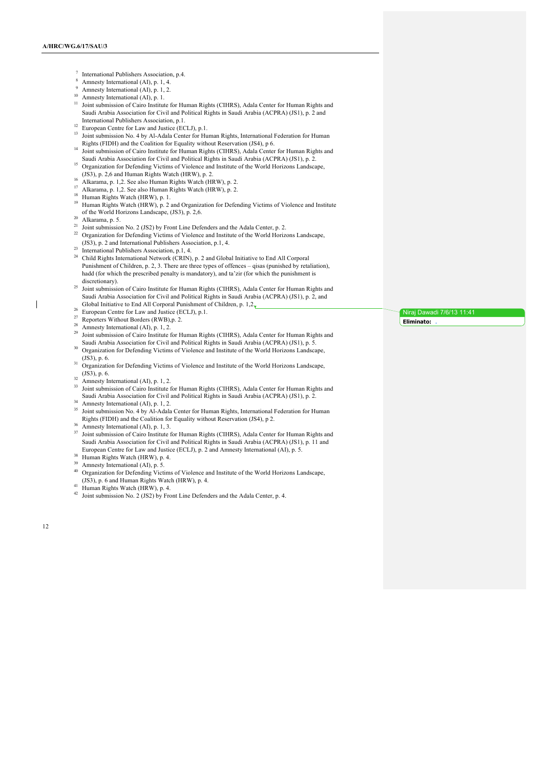- <sup>7</sup> International Publishers Association, p.4.
- <sup>8</sup> Amnesty International (AI), p. 1, 4.
- Amnesty International (AI), p. 1, 2.
- <sup>10</sup> Amnesty International (AI), p. 1.
- <sup>11</sup> Joint submission of Cairo Institute for Human Rights (CIHRS), Adala Center for Human Rights and Saudi Arabia Association for Civil and Political Rights in Saudi Arabia (ACPRA) (JS1), p. 2 and International Publishers Association, p.1.
- <sup>12</sup> European Centre for Law and Justice (ECLJ), p.1.
- <sup>13</sup> Joint submission No. 4 by Al-Adala Center for Human Rights, International Federation for Human Rights (FIDH) and the Coalition for Equality without Reservation (JS4), p 6.
- <sup>14</sup> Joint submission of Cairo Institute for Human Rights (CIHRS), Adala Center for Human Rights and Saudi Arabia Association for Civil and Political Rights in Saudi Arabia (ACPRA) (JS1), p. 2.
- <sup>15</sup> Organization for Defending Victims of Violence and Institute of the World Horizons Landscape, (JS3), p. 2,6 and Human Rights Watch (HRW), p. 2.
- 
- $16$  Alkarama, p. 1,2. See also Human Rights Watch (HRW), p. 2. 17 Alkarama, p. 1,2. See also Human Rights Watch (HRW), p. 2.
- <sup>18</sup> Human Rights Watch (HRW), p. 1.
- 
- <sup>19</sup> Human Rights Watch (HRW), p. 2 and Organization for Defending Victims of Violence and Institute of the World Horizons Landscape, (JS3), p. 2,6.
- $20$  Alkarama, p. 5.
- 21 Joint submission No. 2 (JS2) by Front Line Defenders and the Adala Center, p. 2.
- <sup>22</sup> Organization for Defending Victims of Violence and Institute of the World Horizons Landscape, (JS3), p. 2 and International Publishers Association, p.1, 4.
- $23$  International Publishers Association, p.1, 4.
- <sup>24</sup> Child Rights International Network (CRIN), p. 2 and Global Initiative to End All Corporal Punishment of Children, p. 2, 3. There are three types of offences – qisas (punished by retaliation), hadd (for which the prescribed penalty is mandatory), and ta'zir (for which the punishment is discretionary).
- <sup>25</sup> Joint submission of Cairo Institute for Human Rights (CIHRS), Adala Center for Human Rights and Saudi Arabia Association for Civil and Political Rights in Saudi Arabia (ACPRA) (JS1), p. 2, and Global Initiative to End All Corporal Punishment of Children, p. 1,2.
- <sup>26</sup> European Centre for Law and Justice (ECLJ), p.1.
- <sup>27</sup> Reporters Without Borders (RWB),p. 2.
- 28 Amnesty International (AI), p. 1, 2.
- <sup>29</sup> Joint submission of Cairo Institute for Human Rights (CIHRS), Adala Center for Human Rights and Saudi Arabia Association for Civil and Political Rights in Saudi Arabia (ACPRA) (JS1), p. 5. 30 Organization for Defending Victims of Violence and Institute of the World Horizons Landscape,
- (JS3), p. 6.
- <sup>31</sup> Organization for Defending Victims of Violence and Institute of the World Horizons Landscape, (JS3), p. 6.
- $32$  Amnesty International (AI), p. 1, 2.
- <sup>33</sup> Joint submission of Cairo Institute for Human Rights (CIHRS), Adala Center for Human Rights and Saudi Arabia Association for Civil and Political Rights in Saudi Arabia (ACPRA) (JS1), p. 2.
- <sup>34</sup> Amnesty International (AI), p. 1, 2.
- <sup>35</sup> Joint submission No. 4 by Al-Adala Center for Human Rights, International Federation for Human Rights (FIDH) and the Coalition for Equality without Reservation (JS4), p 2.
- <sup>36</sup> Amnesty International (AI), p. 1, 3.
- <sup>37</sup> Joint submission of Cairo Institute for Human Rights (CIHRS), Adala Center for Human Rights and Saudi Arabia Association for Civil and Political Rights in Saudi Arabia (ACPRA) (JS1), p. 11 and European Centre for Law and Justice (ECLJ), p. 2 and Amnesty International (AI), p. 5.
- <sup>38</sup> Human Rights Watch (HRW), p. 4.
- Amnesty International (AI), p. 5.
- <sup>40</sup> Organization for Defending Victims of Violence and Institute of the World Horizons Landscape, (JS3), p. 6 and Human Rights Watch (HRW), p. 4.
- <sup>41</sup> Human Rights Watch (HRW), p. 4.

12

 $\mathbf{I}$ 

<sup>42</sup> Joint submission No. 2 (JS2) by Front Line Defenders and the Adala Center, p. 4.

Niraj Dawadi 7/6/13 11:41 **Eliminato:**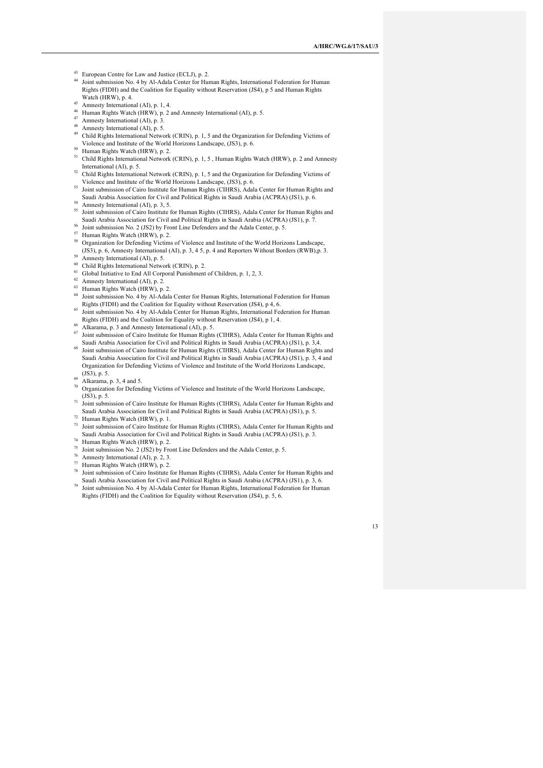<sup>43</sup> European Centre for Law and Justice (ECLJ), p. 2.

- Joint submission No. 4 by Al-Adala Center for Human Rights, International Federation for Human Rights (FIDH) and the Coalition for Equality without Reservation (JS4), p 5 and Human Rights Watch (HRW), p. 4.
- 45 Amnesty International (AI), p. 1, 4.
- <sup>46</sup> Human Rights Watch (HRW), p. 2 and Amnesty International (AI), p. 5.
- 47 Amnesty International (AI), p. 3.
- 48 Amnesty International (AI), p. 5.
- <sup>49</sup> Child Rights International Network (CRIN), p. 1, 5 and the Organization for Defending Victims of Violence and Institute of the World Horizons Landscape, (JS3), p. 6.
- <sup>50</sup> Human Rights Watch (HRW), p. 2.
- <sup>51</sup> Child Rights International Network (CRIN), p. 1, 5, Human Rights Watch (HRW), p. 2 and Amnesty International (AI), p. 5.
- $52$  Child Rights International Network (CRIN), p. 1, 5 and the Organization for Defending Victims of Violence and Institute of the World Horizons Landscape, (JS3), p. 6.
- <sup>53</sup> Joint submission of Cairo Institute for Human Rights (CIHRS), Adala Center for Human Rights and Saudi Arabia Association for Civil and Political Rights in Saudi Arabia (ACPRA) (JS1), p. 6.
- 54 Amnesty International (AI), p. 3, 5.
- <sup>55</sup> Joint submission of Cairo Institute for Human Rights (CIHRS), Adala Center for Human Rights and Saudi Arabia Association for Civil and Political Rights in Saudi Arabia (ACPRA) (JS1), p. 7.
- <sup>56</sup> Joint submission No. 2 (JS2) by Front Line Defenders and the Adala Center, p. 5.
- <sup>57</sup> Human Rights Watch (HRW), p. 2.
- <sup>58</sup> Organization for Defending Victims of Violence and Institute of the World Horizons Landscape, (JS3), p. 6, Amnesty International (AI), p. 3, 4 5, p. 4 and Reporters Without Borders (RWB),p. 3.  $59$  Amnesty International (AI), p. 5.
- <sup>60</sup> Child Rights International Network (CRIN), p. 2.
- <sup>61</sup> Global Initiative to End All Corporal Punishment of Children, p. 1, 2, 3.
- $62$  Amnesty International (AI), p. 2.
- <sup>63</sup> Human Rights Watch (HRW), p. 2.
- 
- <sup>64</sup> Joint submission No. 4 by Al-Adala Center for Human Rights, International Federation for Human Rights (FIDH) and the Coalition for Equality without Reservation (JS4), p 4, 6.
- <sup>65</sup> Joint submission No. 4 by Al-Adala Center for Human Rights, International Federation for Human Rights (FIDH) and the Coalition for Equality without Reservation (JS4), p 1, 4.
- $66$  Alkarama, p. 3 and Amnesty International (AI), p. 5.
- <sup>67</sup> Joint submission of Cairo Institute for Human Rights (CIHRS), Adala Center for Human Rights and Saudi Arabia Association for Civil and Political Rights in Saudi Arabia (ACPRA) (JS1), p. 3,4.
- <sup>68</sup> Joint submission of Cairo Institute for Human Rights (CIHRS), Adala Center for Human Rights and Saudi Arabia Association for Civil and Political Rights in Saudi Arabia (ACPRA) (JS1), p. 3, 4 and Organization for Defending Victims of Violence and Institute of the World Horizons Landscape, (JS3), p. 5.
- $69$  Alkarama, p. 3, 4 and 5.
- <sup>70</sup> Organization for Defending Victims of Violence and Institute of the World Horizons Landscape, (JS3), p. 5.
- <sup>71</sup> Joint submission of Cairo Institute for Human Rights (CIHRS), Adala Center for Human Rights and Saudi Arabia Association for Civil and Political Rights in Saudi Arabia (ACPRA) (JS1), p. 5.
- <sup>72</sup> Human Rights Watch (HRW), p. 1.
- <sup>73</sup> Joint submission of Cairo Institute for Human Rights (CIHRS), Adala Center for Human Rights and Saudi Arabia Association for Civil and Political Rights in Saudi Arabia (ACPRA) (JS1), p. 3.
- <sup>74</sup> Human Rights Watch (HRW), p. 2.
- <sup>75</sup> Joint submission No. 2 (JS2) by Front Line Defenders and the Adala Center, p. 5.
- <sup>76</sup> Amnesty International (AI), p. 2, 3.
- <sup>77</sup> Human Rights Watch (HRW), p. 2.
- <sup>78</sup> Joint submission of Cairo Institute for Human Rights (CIHRS), Adala Center for Human Rights and Saudi Arabia Association for Civil and Political Rights in Saudi Arabia (ACPRA) (JS1), p. 3, 6.
- <sup>79</sup> Joint submission No. 4 by Al-Adala Center for Human Rights, International Federation for Human Rights (FIDH) and the Coalition for Equality without Reservation (JS4), p. 5, 6.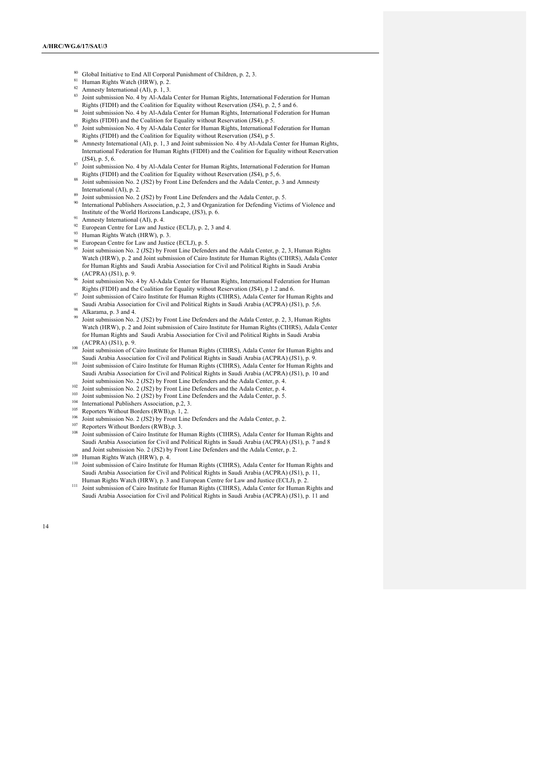- <sup>80</sup> Global Initiative to End All Corporal Punishment of Children, p. 2, 3.
- <sup>81</sup> Human Rights Watch (HRW), p. 2.
- 82 Amnesty International (AI), p. 1, 3.
- 83 Joint submission No. 4 by Al-Adala Center for Human Rights, International Federation for Human Rights (FIDH) and the Coalition for Equality without Reservation (JS4), p. 2, 5 and 6.
- <sup>84</sup> Joint submission No. 4 by Al-Adala Center for Human Rights, International Federation for Human Rights (FIDH) and the Coalition for Equality without Reservation (JS4), p 5.
- <sup>85</sup> Joint submission No. 4 by Al-Adala Center for Human Rights, International Federation for Human Rights (FIDH) and the Coalition for Equality without Reservation (JS4), p 5.
- Amnesty International (AI), p. 1, 3 and Joint submission No. 4 by Al-Adala Center for Human Rights, International Federation for Human Rights (FIDH) and the Coalition for Equality without Reservation  $(1S4)$ , p. 5, 6.
- $87$  Joint submission No. 4 by Al-Adala Center for Human Rights, International Federation for Human Rights (FIDH) and the Coalition for Equality without Reservation (JS4), p 5, 6.
- Joint submission No. 2 (JS2) by Front Line Defenders and the Adala Center, p. 3 and Amnesty International (AI), p. 2.
- $\frac{89}{20}$  Joint submission No. 2 (JS2) by Front Line Defenders and the Adala Center, p. 5.
- International Publishers Association, p.2, 3 and Organization for Defending Victims of Violence and Institute of the World Horizons Landscape, (JS3), p. 6.
- Amnesty International (AI), p. 4.
- $^{92}$  European Centre for Law and Justice (ECLJ), p. 2, 3 and 4.
- 93 Human Rights Watch (HRW), p. 3.
- <sup>94</sup> European Centre for Law and Justice (ECLJ), p. 5.
- <sup>95</sup> Joint submission No. 2 (JS2) by Front Line Defenders and the Adala Center, p. 2, 3, Human Rights Watch (HRW), p. 2 and Joint submission of Cairo Institute for Human Rights (CIHRS), Adala Center for Human Rights and Saudi Arabia Association for Civil and Political Rights in Saudi Arabia (ACPRA) (JS1), p. 9.
- <sup>96</sup> Joint submission No. 4 by Al-Adala Center for Human Rights, International Federation for Human Rights (FIDH) and the Coalition for Equality without Reservation (JS4), p 1.2 and 6.
- Joint submission of Cairo Institute for Human Rights (CIHRS), Adala Center for Human Rights and Saudi Arabia Association for Civil and Political Rights in Saudi Arabia (ACPRA) (JS1), p. 5,6. Alkarama, p. 3 and 4.
- Joint submission No. 2 (JS2) by Front Line Defenders and the Adala Center, p. 2, 3, Human Rights Watch (HRW), p. 2 and Joint submission of Cairo Institute for Human Rights (CIHRS), Adala Center for Human Rights and Saudi Arabia Association for Civil and Political Rights in Saudi Arabia
- (ACPRA) (JS1), p. 9. <sup>100</sup> Joint submission of Cairo Institute for Human Rights (CIHRS), Adala Center for Human Rights and Saudi Arabia Association for Civil and Political Rights in Saudi Arabia (ACPRA) (JS1), p. 9.
- 101 Joint submission of Cairo Institute for Human Rights (CIHRS), Adala Center for Human Rights and Saudi Arabia Association for Civil and Political Rights in Saudi Arabia (ACPRA) (JS1), p. 10 and Joint submission No. 2 (JS2) by Front Line Defenders and the Adala Center, p. 4.
- $102$  Joint submission No. 2 (JS2) by Front Line Defenders and the Adala Center, p. 4.
- <sup>103</sup> Joint submission No. 2 (JS2) by Front Line Defenders and the Adala Center, p. 5.
- <sup>104</sup> International Publishers Association, p.2, 3.
- <sup>105</sup> Reporters Without Borders (RWB),p. 1, 2.
- <sup>106</sup> Joint submission No. 2 (JS2) by Front Line Defenders and the Adala Center, p. 2.
- <sup>107</sup> Reporters Without Borders (RWB),p. 3.
- Joint submission of Cairo Institute for Human Rights (CIHRS), Adala Center for Human Rights and Saudi Arabia Association for Civil and Political Rights in Saudi Arabia (ACPRA) (JS1), p. 7 and 8 and Joint submission No. 2 (JS2) by Front Line Defenders and the Adala Center, p. 2.
- <sup>109</sup> Human Rights Watch (HRW), p. 4.
- <sup>110</sup> Joint submission of Cairo Institute for Human Rights (CIHRS), Adala Center for Human Rights and Saudi Arabia Association for Civil and Political Rights in Saudi Arabia (ACPRA) (JS1), p. 11, Human Rights Watch (HRW), p. 3 and European Centre for Law and Justice (ECLJ), p. 2.
- 111 Joint submission of Cairo Institute for Human Rights (CIHRS), Adala Center for Human Rights and Saudi Arabia Association for Civil and Political Rights in Saudi Arabia (ACPRA) (JS1), p. 11 and